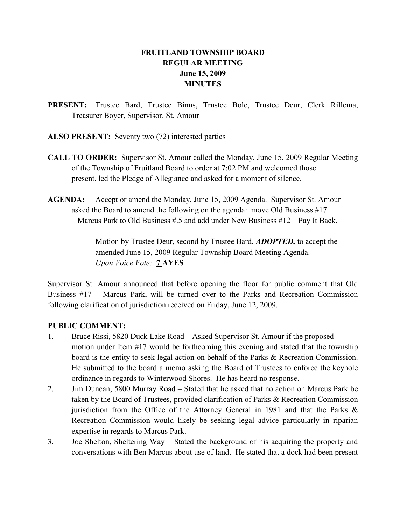# FRUITLAND TOWNSHIP BOARD REGULAR MEETING June 15, 2009 **MINUTES**

- PRESENT: Trustee Bard, Trustee Binns, Trustee Bole, Trustee Deur, Clerk Rillema, Treasurer Boyer, Supervisor. St. Amour
- ALSO PRESENT: Seventy two (72) interested parties
- CALL TO ORDER: Supervisor St. Amour called the Monday, June 15, 2009 Regular Meeting of the Township of Fruitland Board to order at 7:02 PM and welcomed those present, led the Pledge of Allegiance and asked for a moment of silence.
- AGENDA: Accept or amend the Monday, June 15, 2009 Agenda. Supervisor St. Amour asked the Board to amend the following on the agenda: move Old Business #17 – Marcus Park to Old Business #.5 and add under New Business #12 – Pay It Back.

Motion by Trustee Deur, second by Trustee Bard, **ADOPTED**, to accept the amended June 15, 2009 Regular Township Board Meeting Agenda. Upon Voice Vote: 7 AYES

Supervisor St. Amour announced that before opening the floor for public comment that Old Business #17 – Marcus Park, will be turned over to the Parks and Recreation Commission following clarification of jurisdiction received on Friday, June 12, 2009.

## PUBLIC COMMENT:

- 1. Bruce Rissi, 5820 Duck Lake Road Asked Supervisor St. Amour if the proposed motion under Item #17 would be forthcoming this evening and stated that the township board is the entity to seek legal action on behalf of the Parks & Recreation Commission. He submitted to the board a memo asking the Board of Trustees to enforce the keyhole ordinance in regards to Winterwood Shores. He has heard no response.
- 2. Jim Duncan, 5800 Murray Road Stated that he asked that no action on Marcus Park be taken by the Board of Trustees, provided clarification of Parks & Recreation Commission jurisdiction from the Office of the Attorney General in 1981 and that the Parks  $\&$ Recreation Commission would likely be seeking legal advice particularly in riparian expertise in regards to Marcus Park.
- 3. Joe Shelton, Sheltering Way Stated the background of his acquiring the property and conversations with Ben Marcus about use of land. He stated that a dock had been present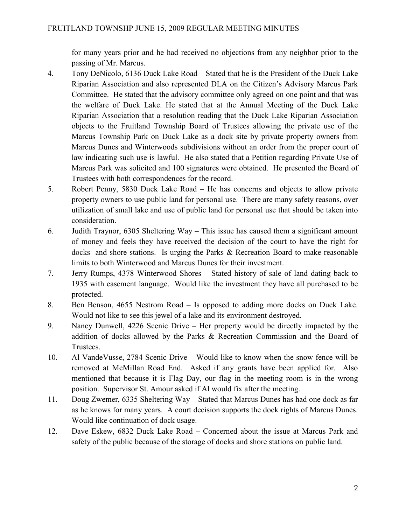for many years prior and he had received no objections from any neighbor prior to the passing of Mr. Marcus.

- 4. Tony DeNicolo, 6136 Duck Lake Road Stated that he is the President of the Duck Lake Riparian Association and also represented DLA on the Citizen's Advisory Marcus Park Committee. He stated that the advisory committee only agreed on one point and that was the welfare of Duck Lake. He stated that at the Annual Meeting of the Duck Lake Riparian Association that a resolution reading that the Duck Lake Riparian Association objects to the Fruitland Township Board of Trustees allowing the private use of the Marcus Township Park on Duck Lake as a dock site by private property owners from Marcus Dunes and Winterwoods subdivisions without an order from the proper court of law indicating such use is lawful. He also stated that a Petition regarding Private Use of Marcus Park was solicited and 100 signatures were obtained. He presented the Board of Trustees with both correspondences for the record.
- 5. Robert Penny, 5830 Duck Lake Road He has concerns and objects to allow private property owners to use public land for personal use. There are many safety reasons, over utilization of small lake and use of public land for personal use that should be taken into consideration.
- 6. Judith Traynor, 6305 Sheltering Way This issue has caused them a significant amount of money and feels they have received the decision of the court to have the right for docks and shore stations. Is urging the Parks & Recreation Board to make reasonable limits to both Winterwood and Marcus Dunes for their investment.
- 7. Jerry Rumps, 4378 Winterwood Shores Stated history of sale of land dating back to 1935 with easement language. Would like the investment they have all purchased to be protected.
- 8. Ben Benson, 4655 Nestrom Road Is opposed to adding more docks on Duck Lake. Would not like to see this jewel of a lake and its environment destroyed.
- 9. Nancy Dunwell, 4226 Scenic Drive Her property would be directly impacted by the addition of docks allowed by the Parks & Recreation Commission and the Board of Trustees.
- 10. Al VandeVusse, 2784 Scenic Drive Would like to know when the snow fence will be removed at McMillan Road End. Asked if any grants have been applied for. Also mentioned that because it is Flag Day, our flag in the meeting room is in the wrong position. Supervisor St. Amour asked if Al would fix after the meeting.
- 11. Doug Zwemer, 6335 Sheltering Way Stated that Marcus Dunes has had one dock as far as he knows for many years. A court decision supports the dock rights of Marcus Dunes. Would like continuation of dock usage.
- 12. Dave Eskew, 6832 Duck Lake Road Concerned about the issue at Marcus Park and safety of the public because of the storage of docks and shore stations on public land.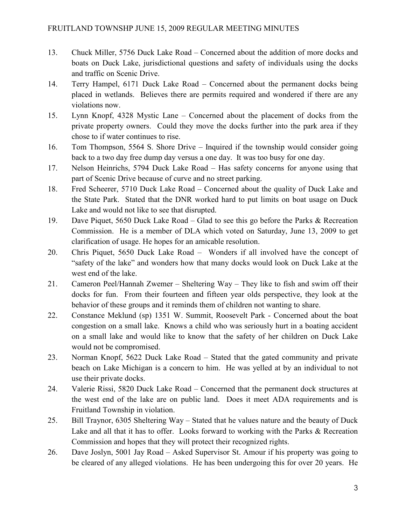- 13. Chuck Miller, 5756 Duck Lake Road Concerned about the addition of more docks and boats on Duck Lake, jurisdictional questions and safety of individuals using the docks and traffic on Scenic Drive.
- 14. Terry Hampel, 6171 Duck Lake Road Concerned about the permanent docks being placed in wetlands. Believes there are permits required and wondered if there are any violations now.
- 15. Lynn Knopf, 4328 Mystic Lane Concerned about the placement of docks from the private property owners. Could they move the docks further into the park area if they chose to if water continues to rise.
- 16. Tom Thompson, 5564 S. Shore Drive Inquired if the township would consider going back to a two day free dump day versus a one day. It was too busy for one day.
- 17. Nelson Heinrichs, 5794 Duck Lake Road Has safety concerns for anyone using that part of Scenic Drive because of curve and no street parking.
- 18. Fred Scheerer, 5710 Duck Lake Road Concerned about the quality of Duck Lake and the State Park. Stated that the DNR worked hard to put limits on boat usage on Duck Lake and would not like to see that disrupted.
- 19. Dave Piquet, 5650 Duck Lake Road Glad to see this go before the Parks & Recreation Commission. He is a member of DLA which voted on Saturday, June 13, 2009 to get clarification of usage. He hopes for an amicable resolution.
- 20. Chris Piquet, 5650 Duck Lake Road Wonders if all involved have the concept of "safety of the lake" and wonders how that many docks would look on Duck Lake at the west end of the lake.
- 21. Cameron Peel/Hannah Zwemer Sheltering Way They like to fish and swim off their docks for fun. From their fourteen and fifteen year olds perspective, they look at the behavior of these groups and it reminds them of children not wanting to share.
- 22. Constance Meklund (sp) 1351 W. Summit, Roosevelt Park Concerned about the boat congestion on a small lake. Knows a child who was seriously hurt in a boating accident on a small lake and would like to know that the safety of her children on Duck Lake would not be compromised.
- 23. Norman Knopf, 5622 Duck Lake Road Stated that the gated community and private beach on Lake Michigan is a concern to him. He was yelled at by an individual to not use their private docks.
- 24. Valerie Rissi, 5820 Duck Lake Road Concerned that the permanent dock structures at the west end of the lake are on public land. Does it meet ADA requirements and is Fruitland Township in violation.
- 25. Bill Traynor, 6305 Sheltering Way Stated that he values nature and the beauty of Duck Lake and all that it has to offer. Looks forward to working with the Parks & Recreation Commission and hopes that they will protect their recognized rights.
- 26. Dave Joslyn, 5001 Jay Road Asked Supervisor St. Amour if his property was going to be cleared of any alleged violations. He has been undergoing this for over 20 years. He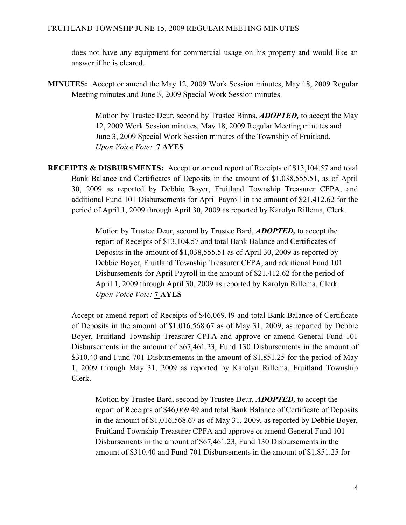does not have any equipment for commercial usage on his property and would like an answer if he is cleared.

MINUTES: Accept or amend the May 12, 2009 Work Session minutes, May 18, 2009 Regular Meeting minutes and June 3, 2009 Special Work Session minutes.

> Motion by Trustee Deur, second by Trustee Binns, **ADOPTED**, to accept the May 12, 2009 Work Session minutes, May 18, 2009 Regular Meeting minutes and June 3, 2009 Special Work Session minutes of the Township of Fruitland. Upon Voice Vote: 7 AYES

RECEIPTS & DISBURSMENTS: Accept or amend report of Receipts of \$13,104.57 and total Bank Balance and Certificates of Deposits in the amount of \$1,038,555.51, as of April 30, 2009 as reported by Debbie Boyer, Fruitland Township Treasurer CFPA, and additional Fund 101 Disbursements for April Payroll in the amount of \$21,412.62 for the period of April 1, 2009 through April 30, 2009 as reported by Karolyn Rillema, Clerk.

> Motion by Trustee Deur, second by Trustee Bard, **ADOPTED**, to accept the report of Receipts of \$13,104.57 and total Bank Balance and Certificates of Deposits in the amount of \$1,038,555.51 as of April 30, 2009 as reported by Debbie Boyer, Fruitland Township Treasurer CFPA, and additional Fund 101 Disbursements for April Payroll in the amount of \$21,412.62 for the period of April 1, 2009 through April 30, 2009 as reported by Karolyn Rillema, Clerk. Upon Voice Vote: **7 AYES**

Accept or amend report of Receipts of \$46,069.49 and total Bank Balance of Certificate of Deposits in the amount of \$1,016,568.67 as of May 31, 2009, as reported by Debbie Boyer, Fruitland Township Treasurer CPFA and approve or amend General Fund 101 Disbursements in the amount of \$67,461.23, Fund 130 Disbursements in the amount of \$310.40 and Fund 701 Disbursements in the amount of \$1,851.25 for the period of May 1, 2009 through May 31, 2009 as reported by Karolyn Rillema, Fruitland Township Clerk.

Motion by Trustee Bard, second by Trustee Deur, **ADOPTED**, to accept the report of Receipts of \$46,069.49 and total Bank Balance of Certificate of Deposits in the amount of \$1,016,568.67 as of May 31, 2009, as reported by Debbie Boyer, Fruitland Township Treasurer CPFA and approve or amend General Fund 101 Disbursements in the amount of \$67,461.23, Fund 130 Disbursements in the amount of \$310.40 and Fund 701 Disbursements in the amount of \$1,851.25 for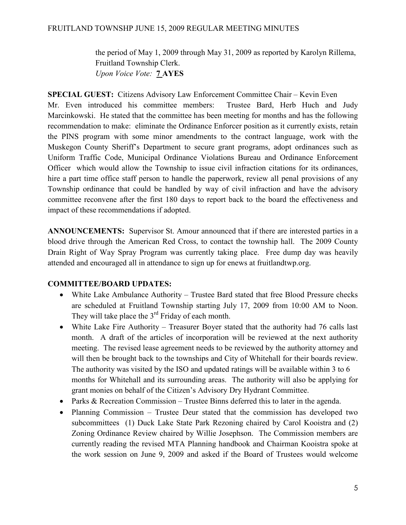the period of May 1, 2009 through May 31, 2009 as reported by Karolyn Rillema, Fruitland Township Clerk. Upon Voice Vote: 7 AYES

SPECIAL GUEST: Citizens Advisory Law Enforcement Committee Chair – Kevin Even Mr. Even introduced his committee members: Trustee Bard, Herb Huch and Judy Marcinkowski. He stated that the committee has been meeting for months and has the following recommendation to make: eliminate the Ordinance Enforcer position as it currently exists, retain the PINS program with some minor amendments to the contract language, work with the Muskegon County Sheriff's Department to secure grant programs, adopt ordinances such as Uniform Traffic Code, Municipal Ordinance Violations Bureau and Ordinance Enforcement Officer which would allow the Township to issue civil infraction citations for its ordinances, hire a part time office staff person to handle the paperwork, review all penal provisions of any Township ordinance that could be handled by way of civil infraction and have the advisory committee reconvene after the first 180 days to report back to the board the effectiveness and impact of these recommendations if adopted.

ANNOUNCEMENTS: Supervisor St. Amour announced that if there are interested parties in a blood drive through the American Red Cross, to contact the township hall. The 2009 County Drain Right of Way Spray Program was currently taking place. Free dump day was heavily attended and encouraged all in attendance to sign up for enews at fruitlandtwp.org.

# COMMITTEE/BOARD UPDATES:

- White Lake Ambulance Authority Trustee Bard stated that free Blood Pressure checks are scheduled at Fruitland Township starting July 17, 2009 from 10:00 AM to Noon. They will take place the 3<sup>rd</sup> Friday of each month.
- White Lake Fire Authority Treasurer Boyer stated that the authority had 76 calls last month. A draft of the articles of incorporation will be reviewed at the next authority meeting. The revised lease agreement needs to be reviewed by the authority attorney and will then be brought back to the townships and City of Whitehall for their boards review. The authority was visited by the ISO and updated ratings will be available within 3 to 6 months for Whitehall and its surrounding areas. The authority will also be applying for grant monies on behalf of the Citizen's Advisory Dry Hydrant Committee.
- Parks & Recreation Commission Trustee Binns deferred this to later in the agenda.
- Planning Commission Trustee Deur stated that the commission has developed two subcommittees (1) Duck Lake State Park Rezoning chaired by Carol Kooistra and (2) Zoning Ordinance Review chaired by Willie Josephson. The Commission members are currently reading the revised MTA Planning handbook and Chairman Kooistra spoke at the work session on June 9, 2009 and asked if the Board of Trustees would welcome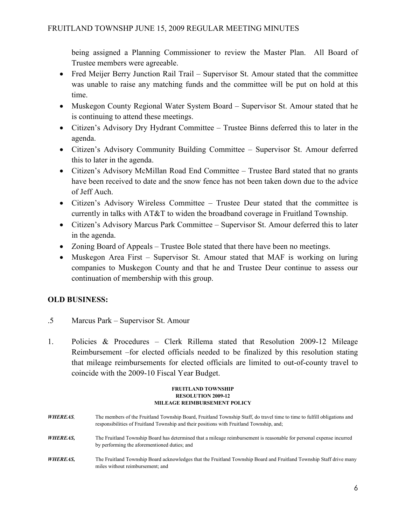being assigned a Planning Commissioner to review the Master Plan. All Board of Trustee members were agreeable.

- Fred Meijer Berry Junction Rail Trail Supervisor St. Amour stated that the committee was unable to raise any matching funds and the committee will be put on hold at this time.
- Muskegon County Regional Water System Board Supervisor St. Amour stated that he is continuing to attend these meetings.
- Citizen's Advisory Dry Hydrant Committee Trustee Binns deferred this to later in the agenda.
- Citizen's Advisory Community Building Committee Supervisor St. Amour deferred this to later in the agenda.
- Citizen's Advisory McMillan Road End Committee Trustee Bard stated that no grants have been received to date and the snow fence has not been taken down due to the advice of Jeff Auch.
- Citizen's Advisory Wireless Committee Trustee Deur stated that the committee is currently in talks with AT&T to widen the broadband coverage in Fruitland Township.
- Citizen's Advisory Marcus Park Committee Supervisor St. Amour deferred this to later in the agenda.
- Zoning Board of Appeals Trustee Bole stated that there have been no meetings.
- Muskegon Area First Supervisor St. Amour stated that MAF is working on luring companies to Muskegon County and that he and Trustee Deur continue to assess our continuation of membership with this group.

# OLD BUSINESS:

- .5 Marcus Park Supervisor St. Amour
- 1. Policies & Procedures Clerk Rillema stated that Resolution 2009-12 Mileage Reimbursement –for elected officials needed to be finalized by this resolution stating that mileage reimbursements for elected officials are limited to out-of-county travel to coincide with the 2009-10 Fiscal Year Budget.

### FRUITLAND TOWNSHIP RESOLUTION 2009-12 MILEAGE REIMBURSEMENT POLICY

WHEREAS, The members of the Fruitland Township Board, Fruitland Township Staff, do travel time to time to fulfill obligations and responsibilities of Fruitland Township and their positions with Fruitland Township, and; WHEREAS, The Fruitland Township Board has determined that a mileage reimbursement is reasonable for personal expense incurred by performing the aforementioned duties; and WHEREAS, The Fruitland Township Board acknowledges that the Fruitland Township Board and Fruitland Township Staff drive many miles without reimbursement; and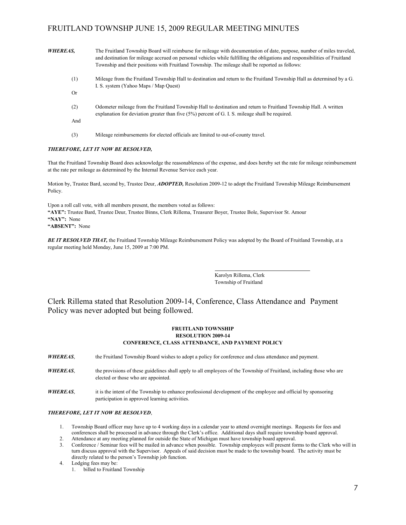| <b>WHEREAS,</b> | The Fruitland Township Board will reimburse for mileage with documentation of date, purpose, number of miles traveled,<br>and destination for mileage accrued on personal vehicles while fulfilling the obligations and responsibilities of Fruitland<br>Township and their positions with Fruitland Township. The mileage shall be reported as follows: |
|-----------------|----------------------------------------------------------------------------------------------------------------------------------------------------------------------------------------------------------------------------------------------------------------------------------------------------------------------------------------------------------|
| (1)             | Mileage from the Fruitland Township Hall to destination and return to the Fruitland Township Hall as determined by a G.                                                                                                                                                                                                                                  |
|                 | I. S. system (Yahoo Maps / Map Quest)                                                                                                                                                                                                                                                                                                                    |
| Or              |                                                                                                                                                                                                                                                                                                                                                          |
| (2)             | Odometer mileage from the Fruitland Township Hall to destination and return to Fruitland Township Hall. A written<br>explanation for deviation greater than five $(5%)$ percent of G. I. S. mileage shall be required.                                                                                                                                   |
| And             |                                                                                                                                                                                                                                                                                                                                                          |
| (3)             | Mileage reimbursements for elected officials are limited to out-of-county travel.                                                                                                                                                                                                                                                                        |

#### THEREFORE, LET IT NOW BE RESOLVED,

That the Fruitland Township Board does acknowledge the reasonableness of the expense, and does hereby set the rate for mileage reimbursement at the rate per mileage as determined by the Internal Revenue Service each year.

Motion by, Trustee Bard, second by, Trustee Deur, **ADOPTED**, Resolution 2009-12 to adopt the Fruitland Township Mileage Reimbursement Policy.

Upon a roll call vote, with all members present, the members voted as follows: "AYE": Trustee Bard, Trustee Deur, Trustee Binns, Clerk Rillema, Treasurer Boyer, Trustee Bole, Supervisor St. Amour "NAY": None "ABSENT": None

BE IT RESOLVED THAT, the Fruitland Township Mileage Reimbursement Policy was adopted by the Board of Fruitland Township, at a regular meeting held Monday, June 15, 2009 at 7:00 PM.

> Karolyn Rillema, Clerk Township of Fruitland

 Clerk Rillema stated that Resolution 2009-14, Conference, Class Attendance and Payment Policy was never adopted but being followed.

#### FRUITLAND TOWNSHIP RESOLUTION 2009-14 CONFERENCE, CLASS ATTENDANCE, AND PAYMENT POLICY

WHEREAS, the Fruitland Township Board wishes to adopt a policy for conference and class attendance and payment.

- WHEREAS, the provisions of these guidelines shall apply to all employees of the Township of Fruitland, including those who are elected or those who are appointed.
- WHEREAS, it is the intent of the Township to enhance professional development of the employee and official by sponsoring participation in approved learning activities.

#### THEREFORE, LET IT NOW BE RESOLVED,

- 1. Township Board officer may have up to 4 working days in a calendar year to attend overnight meetings. Requests for fees and conferences shall be processed in advance through the Clerk's office. Additional days shall require township board approval.
- 2. Attendance at any meeting planned for outside the State of Michigan must have township board approval.
- 3. Conference / Seminar fees will be mailed in advance when possible. Township employees will present forms to the Clerk who will in turn discuss approval with the Supervisor. Appeals of said decision must be made to the township board. The activity must be directly related to the person's Township job function.
- 4. Lodging fees may be:
	- 1. billed to Fruitland Township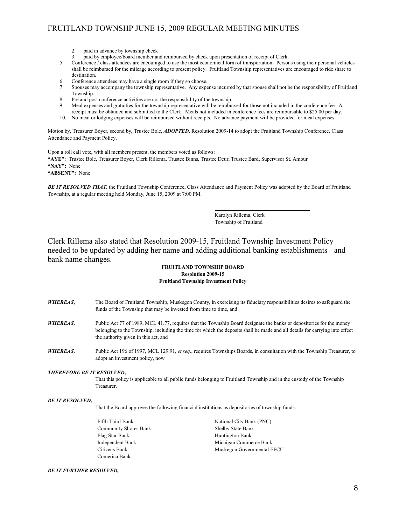- 2. paid in advance by township check
- 3. paid by employee/board member and reimbursed by check upon presentation of receipt of Clerk.
- 5. Conference / class attendees are encouraged to use the most economical form of transportation. Persons using their personal vehicles shall be reimbursed for the mileage according to present policy. Fruitland Township representatives are encouraged to ride share to destination.
- 6. Conference attendees may have a single room if they so choose.
- 7. Spouses may accompany the township representative. Any expense incurred by that spouse shall not be the responsibility of Fruitland Township.
- 8. Pre and post conference activities are not the responsibility of the township.<br>9. Meal expenses and gratuities for the township representative will be reimbured.
- 9. Meal expenses and gratuities for the township representative will be reimbursed for those not included in the conference fee. A
- receipt must be obtained and submitted to the Clerk. Meals not included in conference fees are reimbursable to \$25.00 per day. 10. No meal or lodging expenses will be reimbursed without receipts. No advance payment will be provided for meal expenses.

Motion by, Treasurer Boyer, second by, Trustee Bole, ADOPTED, Resolution 2009-14 to adopt the Fruitland Township Conference, Class Attendance and Payment Policy.

Upon a roll call vote, with all members present, the members voted as follows:

"AYE": Trustee Bole, Treasurer Boyer, Clerk Rillema, Trustee Binns, Trustee Deur, Trustee Bard, Supervisor St. Amour

"NAY": None

"ABSENT": None

BE IT RESOLVED THAT, the Fruitland Township Conference, Class Attendance and Payment Policy was adopted by the Board of Fruitland Township, at a regular meeting held Monday, June 15, 2009 at 7:00 PM.

> Karolyn Rillema, Clerk Township of Fruitland

 Clerk Rillema also stated that Resolution 2009-15, Fruitland Township Investment Policy needed to be updated by adding her name and adding additional banking establishments and bank name changes.

### FRUITLAND TOWNSHIP BOARD Resolution 2009-15 Fruitland Township Investment Policy

WHEREAS, The Board of Fruitland Township, Muskegon County, in exercising its fiduciary responsibilities desires to safeguard the funds of the Township that may be invested from time to time, and WHEREAS, Public Act 77 of 1989, MCL 41.77, requires that the Township Board designate the banks or depositories for the money belonging to the Township, including the time for which the deposits shall be made and all details for carrying into effect the authority given in this act, and WHEREAS, Public Act 196 of 1997, MCL 129.91, et seq., requires Townships Boards, in consultation with the Township Treasurer, to adopt an investment policy, now THEREFORE BE IT RESOLVED, That this policy is applicable to all public funds belonging to Fruitland Township and in the custody of the Township Treasurer. BE IT RESOLVED, That the Board approves the following financial institutions as depositories of township funds: Fifth Third Bank Third Bank (PNC) National City Bank (PNC) Community Shores Bank Shelby State Bank Flag Star Bank Huntington Bank Independent Bank Michigan Commerce Bank Citizens Bank Muskegon Governmental EFCU Comerica Bank BE IT FURTHER RESOLVED,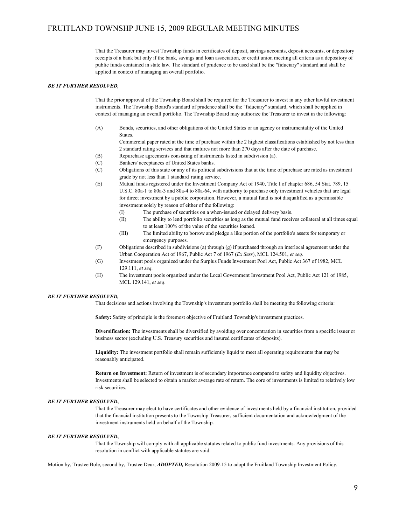That the Treasurer may invest Township funds in certificates of deposit, savings accounts, deposit accounts, or depository receipts of a bank but only if the bank, savings and loan association, or credit union meeting all criteria as a depository of public funds contained in state law. The standard of prudence to be used shall be the "fiduciary" standard and shall be applied in context of managing an overall portfolio.

#### BE IT FURTHER RESOLVED,

That the prior approval of the Township Board shall be required for the Treasurer to invest in any other lawful investment instruments. The Township Board's standard of prudence shall be the "fiduciary" standard, which shall be applied in context of managing an overall portfolio. The Township Board may authorize the Treasurer to invest in the following:

(A) Bonds, securities, and other obligations of the United States or an agency or instrumentality of the United **States** 

 Commercial paper rated at the time of purchase within the 2 highest classifications established by not less than 2 standard rating services and that matures not more than 270 days after the date of purchase.

- (B) Repurchase agreements consisting of instruments listed in subdivision (a).
- (C) Bankers' acceptances of United States banks.
- (C) Obligations of this state or any of its political subdivisions that at the time of purchase are rated as investment grade by not less than 1 standard rating service.
- (E) Mutual funds registered under the Investment Company Act of 1940, Title I of chapter 686, 54 Stat. 789, 15 U.S.C. 80a-1 to 80a-3 and 80a-4 to 80a-64, with authority to purchase only investment vehicles that are legal for direct investment by a public corporation. However, a mutual fund is not disqualified as a permissible investment solely by reason of either of the following:
	- (I) The purchase of securities on a when-issued or delayed delivery basis.
	- (II) The ability to lend portfolio securities as long as the mutual fund receives collateral at all times equal to at least 100% of the value of the securities loaned.
	- (III) The limited ability to borrow and pledge a like portion of the portfolio's assets for temporary or emergency purposes.
- (F) Obligations described in subdivisions (a) through (g) if purchased through an interlocal agreement under the Urban Cooperation Act of 1967, Public Act 7 of 1967 (Ex Sess), MCL 124.501, et seq.
- (G) Investment pools organized under the Surplus Funds Investment Pool Act, Public Act 367 of 1982, MCL 129.111, et seq.
- (H) The investment pools organized under the Local Government Investment Pool Act, Public Act 121 of 1985, MCL 129.141, et seq.

#### BE IT FURTHER RESOLVED,

That decisions and actions involving the Township's investment portfolio shall be meeting the following criteria:

Safety: Safety of principle is the foremost objective of Fruitland Township's investment practices.

Diversification: The investments shall be diversified by avoiding over concentration in securities from a specific issuer or business sector (excluding U.S. Treasury securities and insured certificates of deposits).

Liquidity: The investment portfolio shall remain sufficiently liquid to meet all operating requirements that may be reasonably anticipated.

Return on Investment: Return of investment is of secondary importance compared to safety and liquidity objectives. Investments shall be selected to obtain a market average rate of return. The core of investments is limited to relatively low risk securities.

#### BE IT FURTHER RESOLVED,

That the Treasurer may elect to have certificates and other evidence of investments held by a financial institution, provided that the financial institution presents to the Township Treasurer, sufficient documentation and acknowledgment of the investment instruments held on behalf of the Township.

#### BE IT FURTHER RESOLVED,

That the Township will comply with all applicable statutes related to public fund investments. Any provisions of this resolution in conflict with applicable statutes are void.

Motion by, Trustee Bole, second by, Trustee Deur, ADOPTED, Resolution 2009-15 to adopt the Fruitland Township Investment Policy.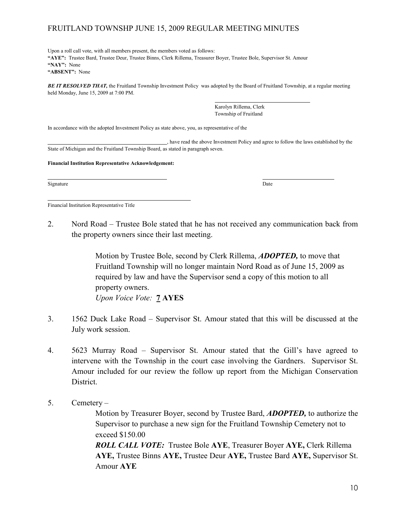Upon a roll call vote, with all members present, the members voted as follows: "AYE": Trustee Bard, Trustee Deur, Trustee Binns, Clerk Rillema, Treasurer Boyer, Trustee Bole, Supervisor St. Amour "NAY": None "ABSENT": None

**BE IT RESOLVED THAT, the Fruitland Township Investment Policy was adopted by the Board of Fruitland Township, at a regular meeting** held Monday, June 15, 2009 at 7:00 PM.

> Karolyn Rillema, Clerk Township of Fruitland

In accordance with the adopted Investment Policy as state above, you, as representative of the

 , have read the above Investment Policy and agree to follow the laws established by the State of Michigan and the Fruitland Township Board, as stated in paragraph seven.

Financial Institution Representative Acknowledgement:

Signature Date Date of the Date of the Date of the Date of the Date of the Date of the Date of the Date of the Date of the Date of the Date of the Date of the Date of the Date of the Date of the Date of the Date of the Dat

 $\overline{a}$ 

 $\overline{a}$ 

Financial Institution Representative Title

2. Nord Road – Trustee Bole stated that he has not received any communication back from the property owners since their last meeting.

> Motion by Trustee Bole, second by Clerk Rillema, **ADOPTED**, to move that Fruitland Township will no longer maintain Nord Road as of June 15, 2009 as required by law and have the Supervisor send a copy of this motion to all property owners. Upon Voice Vote: 7 AYES

- 3. 1562 Duck Lake Road Supervisor St. Amour stated that this will be discussed at the July work session.
- 4. 5623 Murray Road Supervisor St. Amour stated that the Gill's have agreed to intervene with the Township in the court case involving the Gardners. Supervisor St. Amour included for our review the follow up report from the Michigan Conservation District.
- 5. Cemetery –

Motion by Treasurer Boyer, second by Trustee Bard, **ADOPTED**, to authorize the Supervisor to purchase a new sign for the Fruitland Township Cemetery not to exceed \$150.00 ROLL CALL VOTE: Trustee Bole AYE, Treasurer Boyer AYE, Clerk Rillema AYE, Trustee Binns AYE, Trustee Deur AYE, Trustee Bard AYE, Supervisor St. Amour AYE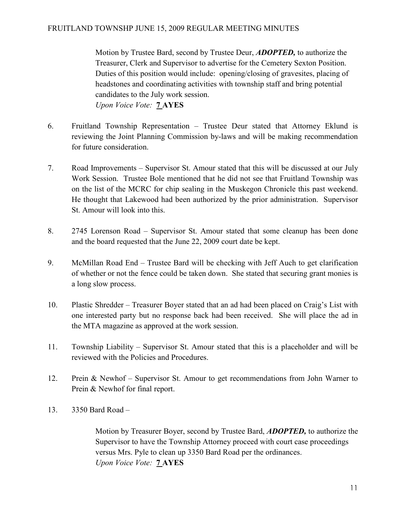Motion by Trustee Bard, second by Trustee Deur, **ADOPTED**, to authorize the Treasurer, Clerk and Supervisor to advertise for the Cemetery Sexton Position. Duties of this position would include: opening/closing of gravesites, placing of headstones and coordinating activities with township staff and bring potential candidates to the July work session. Upon Voice Vote: 7 AYES

- 6. Fruitland Township Representation Trustee Deur stated that Attorney Eklund is reviewing the Joint Planning Commission by-laws and will be making recommendation for future consideration.
- 7. Road Improvements Supervisor St. Amour stated that this will be discussed at our July Work Session. Trustee Bole mentioned that he did not see that Fruitland Township was on the list of the MCRC for chip sealing in the Muskegon Chronicle this past weekend. He thought that Lakewood had been authorized by the prior administration. Supervisor St. Amour will look into this.
- 8. 2745 Lorenson Road Supervisor St. Amour stated that some cleanup has been done and the board requested that the June 22, 2009 court date be kept.
- 9. McMillan Road End Trustee Bard will be checking with Jeff Auch to get clarification of whether or not the fence could be taken down. She stated that securing grant monies is a long slow process.
- 10. Plastic Shredder Treasurer Boyer stated that an ad had been placed on Craig's List with one interested party but no response back had been received. She will place the ad in the MTA magazine as approved at the work session.
- 11. Township Liability Supervisor St. Amour stated that this is a placeholder and will be reviewed with the Policies and Procedures.
- 12. Prein & Newhof Supervisor St. Amour to get recommendations from John Warner to Prein & Newhof for final report.
- 13. 3350 Bard Road –

Motion by Treasurer Boyer, second by Trustee Bard, **ADOPTED**, to authorize the Supervisor to have the Township Attorney proceed with court case proceedings versus Mrs. Pyle to clean up 3350 Bard Road per the ordinances. Upon Voice Vote: **7 AYES**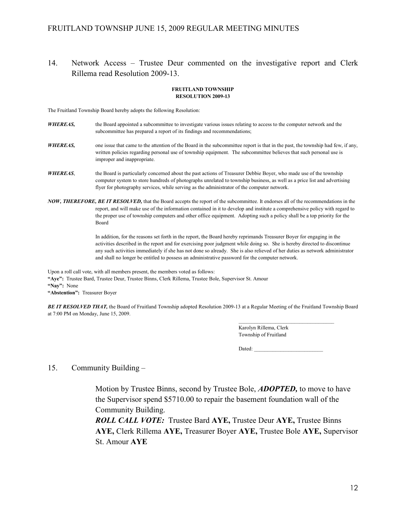14. Network Access – Trustee Deur commented on the investigative report and Clerk Rillema read Resolution 2009-13.

#### FRUITLAND TOWNSHIP RESOLUTION 2009-13

The Fruitland Township Board hereby adopts the following Resolution:

- WHEREAS, the Board appointed a subcommittee to investigate various issues relating to access to the computer network and the subcommittee has prepared a report of its findings and recommendations;
- **WHEREAS,** one issue that came to the attention of the Board in the subcommittee report is that in the past, the township had few, if any, written policies regarding personal use of township equipment. The subcommittee believes that such personal use is improper and inappropriate.
- WHEREAS, the Board is particularly concerned about the past actions of Treasurer Debbie Boyer, who made use of the township computer system to store hundreds of photographs unrelated to township business, as well as a price list and advertising flyer for photography services, while serving as the administrator of the computer network.
- NOW, THEREFORE, BE IT RESOLVED, that the Board accepts the report of the subcommittee. It endorses all of the recommendations in the report, and will make use of the information contained in it to develop and institute a comprehensive policy with regard to the proper use of township computers and other office equipment. Adopting such a policy shall be a top priority for the Board

 In addition, for the reasons set forth in the report, the Board hereby reprimands Treasurer Boyer for engaging in the activities described in the report and for exercising poor judgment while doing so. She is hereby directed to discontinue any such activities immediately if she has not done so already. She is also relieved of her duties as network administrator and shall no longer be entitled to possess an administrative password for the computer network.

Upon a roll call vote, with all members present, the members voted as follows:

"Aye": Trustee Bard, Trustee Deur, Trustee Binns, Clerk Rillema, Trustee Bole, Supervisor St. Amour

"Nay": None

"Abstention": Treasurer Boyer

BE IT RESOLVED THAT, the Board of Fruitland Township adopted Resolution 2009-13 at a Regular Meeting of the Fruitland Township Board at 7:00 PM on Monday, June 15, 2009.

> Karolyn Rillema, Clerk Township of Fruitland

Dated:

### 15. Community Building –

Motion by Trustee Binns, second by Trustee Bole, **ADOPTED**, to move to have the Supervisor spend \$5710.00 to repair the basement foundation wall of the Community Building.

 ROLL CALL VOTE: Trustee Bard AYE, Trustee Deur AYE, Trustee Binns AYE, Clerk Rillema AYE, Treasurer Boyer AYE, Trustee Bole AYE, Supervisor St. Amour AYE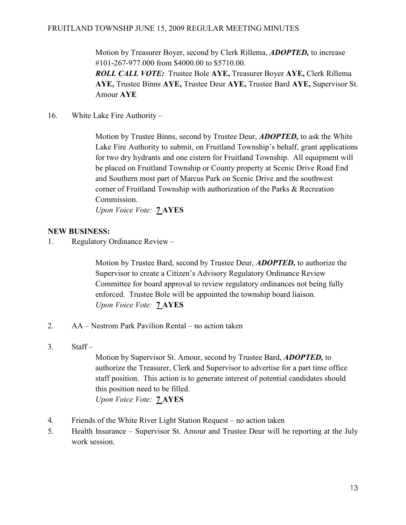Motion by Treasurer Boyer, second by Clerk Rillema, **ADOPTED**, to increase #101-267-977.000 from \$4000.00 to \$5710.00.

 ROLL CALL VOTE: Trustee Bole AYE, Treasurer Boyer AYE, Clerk Rillema AYE, Trustee Binns AYE, Trustee Deur AYE, Trustee Bard AYE, Supervisor St. Amour AYE

16. White Lake Fire Authority –

Motion by Trustee Binns, second by Trustee Deur, **ADOPTED**, to ask the White Lake Fire Authority to submit, on Fruitland Township's behalf, grant applications for two dry hydrants and one cistern for Fruitland Township. All equipment will be placed on Fruitland Township or County property at Scenic Drive Road End and Southern most part of Marcus Park on Scenic Drive and the southwest corner of Fruitland Township with authorization of the Parks & Recreation Commission.

Upon Voice Vote: 7 AYES

## NEW BUSINESS:

1. Regulatory Ordinance Review –

Motion by Trustee Bard, second by Trustee Deur, **ADOPTED**, to authorize the Supervisor to create a Citizen's Advisory Regulatory Ordinance Review Committee for board approval to review regulatory ordinances not being fully enforced. Trustee Bole will be appointed the township board liaison. Upon Voice Vote: 7 AYES

- 2. AA Nestrom Park Pavilion Rental no action taken
- 3. Staff –

Motion by Supervisor St. Amour, second by Trustee Bard, **ADOPTED**, to authorize the Treasurer, Clerk and Supervisor to advertise for a part time office staff position. This action is to generate interest of potential candidates should this position need to be filled. Upon Voice Vote: 7 AYES

- 4. Friends of the White River Light Station Request no action taken
- 5. Health Insurance Supervisor St. Amour and Trustee Deur will be reporting at the July work session.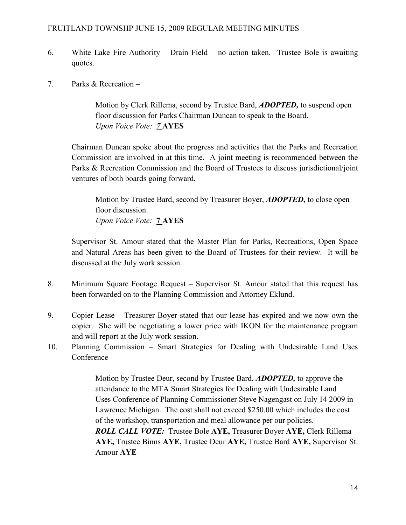- 6. White Lake Fire Authority Drain Field no action taken. Trustee Bole is awaiting quotes.
- 7. Parks & Recreation –

Motion by Clerk Rillema, second by Trustee Bard, **ADOPTED**, to suspend open floor discussion for Parks Chairman Duncan to speak to the Board. Upon Voice Vote: 7 AYES

Chairman Duncan spoke about the progress and activities that the Parks and Recreation Commission are involved in at this time. A joint meeting is recommended between the Parks & Recreation Commission and the Board of Trustees to discuss jurisdictional/joint ventures of both boards going forward.

Motion by Trustee Bard, second by Treasurer Boyer, **ADOPTED**, to close open floor discussion. Upon Voice Vote: 7 AYES

 Supervisor St. Amour stated that the Master Plan for Parks, Recreations, Open Space and Natural Areas has been given to the Board of Trustees for their review. It will be discussed at the July work session.

- 8. Minimum Square Footage Request Supervisor St. Amour stated that this request has been forwarded on to the Planning Commission and Attorney Eklund.
- 9. Copier Lease Treasurer Boyer stated that our lease has expired and we now own the copier. She will be negotiating a lower price with IKON for the maintenance program and will report at the July work session.
- 10. Planning Commission Smart Strategies for Dealing with Undesirable Land Uses Conference –

Motion by Trustee Deur, second by Trustee Bard, **ADOPTED**, to approve the attendance to the MTA Smart Strategies for Dealing with Undesirable Land Uses Conference of Planning Commissioner Steve Nagengast on July 14 2009 in Lawrence Michigan. The cost shall not exceed \$250.00 which includes the cost of the workshop, transportation and meal allowance per our policies. ROLL CALL VOTE: Trustee Bole AYE, Treasurer Boyer AYE, Clerk Rillema AYE, Trustee Binns AYE, Trustee Deur AYE, Trustee Bard AYE, Supervisor St. Amour AYE